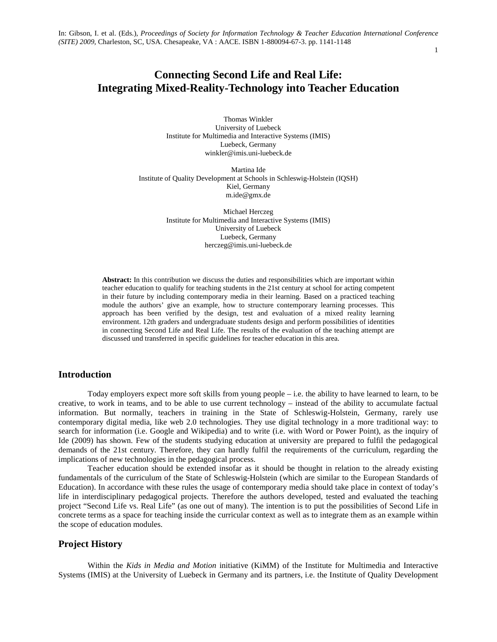# **Connecting Second Life and Real Life: Integrating Mixed-Reality-Technology into Teacher Education**

Thomas Winkler University of Luebeck Institute for Multimedia and Interactive Systems (IMIS) Luebeck, Germany winkler@imis.uni-luebeck.de

Martina Ide Institute of Quality Development at Schools in Schleswig-Holstein (IQSH) Kiel, Germany m.ide@gmx.de

> Michael Herczeg Institute for Multimedia and Interactive Systems (IMIS) University of Luebeck Luebeck, Germany herczeg@imis.uni-luebeck.de

**Abstract:** In this contribution we discuss the duties and responsibilities which are important within teacher education to qualify for teaching students in the 21st century at school for acting competent in their future by including contemporary media in their learning. Based on a practiced teaching module the authors' give an example, how to structure contemporary learning processes. This approach has been verified by the design, test and evaluation of a mixed reality learning environment. 12th graders and undergraduate students design and perform possibilities of identities in connecting Second Life and Real Life. The results of the evaluation of the teaching attempt are discussed und transferred in specific guidelines for teacher education in this area.

### **Introduction**

Today employers expect more soft skills from young people – i.e. the ability to have learned to learn, to be creative, to work in teams, and to be able to use current technology – instead of the ability to accumulate factual information. But normally, teachers in training in the State of Schleswig-Holstein, Germany, rarely use contemporary digital media, like web 2.0 technologies. They use digital technology in a more traditional way: to search for information (i.e. Google and Wikipedia) and to write (i.e. with Word or Power Point), as the inquiry of Ide (2009) has shown. Few of the students studying education at university are prepared to fulfil the pedagogical demands of the 21st century. Therefore, they can hardly fulfil the requirements of the curriculum, regarding the implications of new technologies in the pedagogical process.

Teacher education should be extended insofar as it should be thought in relation to the already existing fundamentals of the curriculum of the State of Schleswig-Holstein (which are similar to the European Standards of Education). In accordance with these rules the usage of contemporary media should take place in context of today's life in interdisciplinary pedagogical projects. Therefore the authors developed, tested and evaluated the teaching project "Second Life vs. Real Life" (as one out of many). The intention is to put the possibilities of Second Life in concrete terms as a space for teaching inside the curricular context as well as to integrate them as an example within the scope of education modules.

### **Project History**

Within the *Kids in Media and Motion* initiative (KiMM) of the Institute for Multimedia and Interactive Systems (IMIS) at the University of Luebeck in Germany and its partners, i.e. the Institute of Quality Development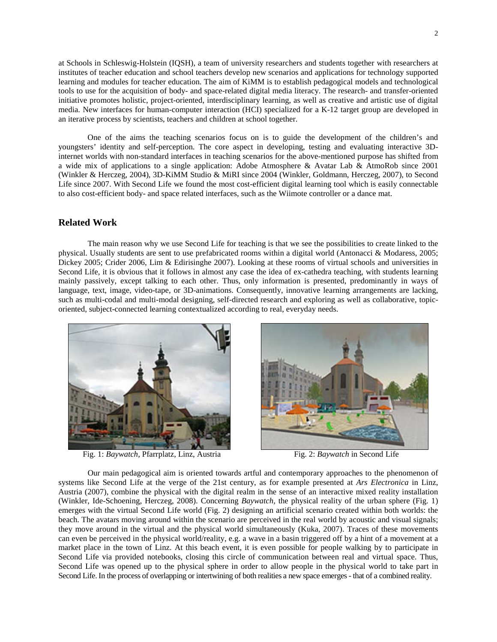at Schools in Schleswig-Holstein (IQSH), a team of university researchers and students together with researchers at institutes of teacher education and school teachers develop new scenarios and applications for technology supported learning and modules for teacher education. The aim of KiMM is to establish pedagogical models and technological tools to use for the acquisition of body- and space-related digital media literacy. The research- and transfer-oriented initiative promotes holistic, project-oriented, interdisciplinary learning, as well as creative and artistic use of digital media. New interfaces for human-computer interaction (HCI) specialized for a K-12 target group are developed in an iterative process by scientists, teachers and children at school together.

One of the aims the teaching scenarios focus on is to guide the development of the children's and youngsters' identity and self-perception. The core aspect in developing, testing and evaluating interactive 3Dinternet worlds with non-standard interfaces in teaching scenarios for the above-mentioned purpose has shifted from a wide mix of applications to a single application: Adobe Atmosphere & Avatar Lab & AtmoRob since 2001 (Winkler & Herczeg, 2004), 3D-KiMM Studio & MiRI since 2004 (Winkler, Goldmann, Herczeg, 2007), to Second Life since 2007. With Second Life we found the most cost-efficient digital learning tool which is easily connectable to also cost-efficient body- and space related interfaces, such as the Wiimote controller or a dance mat.

### **Related Work**

The main reason why we use Second Life for teaching is that we see the possibilities to create linked to the physical. Usually students are sent to use prefabricated rooms within a digital world (Antonacci & Modaress, 2005; Dickey 2005; Crider 2006, Lim & Edirisinghe 2007). Looking at these rooms of virtual schools and universities in Second Life, it is obvious that it follows in almost any case the idea of ex-cathedra teaching, with students learning mainly passively, except talking to each other. Thus, only information is presented, predominantly in ways of language, text, image, video-tape, or 3D-animations. Consequently, innovative learning arrangements are lacking, such as multi-codal and multi-modal designing, self-directed research and exploring as well as collaborative, topicoriented, subject-connected learning contextualized according to real, everyday needs.



Fig. 1: *Baywatch*, Pfarrplatz, Linz, Austria Fig. 2: *Baywatch* in Second Life



Our main pedagogical aim is oriented towards artful and contemporary approaches to the phenomenon of systems like Second Life at the verge of the 21st century, as for example presented at *Ars Electronica* in Linz, Austria (2007), combine the physical with the digital realm in the sense of an interactive mixed reality installation (Winkler, Ide-Schoening, Herczeg, 2008). Concerning *Baywatch,* the physical reality of the urban sphere (Fig. 1) emerges with the virtual Second Life world (Fig. 2) designing an artificial scenario created within both worlds: the beach. The avatars moving around within the scenario are perceived in the real world by acoustic and visual signals; they move around in the virtual and the physical world simultaneously (Kuka, 2007). Traces of these movements can even be perceived in the physical world/reality, e.g. a wave in a basin triggered off by a hint of a movement at a market place in the town of Linz. At this beach event, it is even possible for people walking by to participate in Second Life via provided notebooks, closing this circle of communication between real and virtual space. Thus, Second Life was opened up to the physical sphere in order to allow people in the physical world to take part in Second Life. In the process of overlapping or intertwining of both realities a new space emerges - that of a combined reality.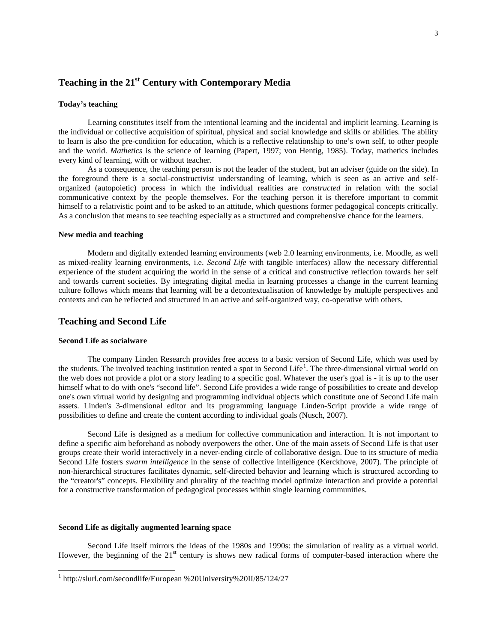## **Teaching in the 21st Century with Contemporary Media**

#### **Today's teaching**

Learning constitutes itself from the intentional learning and the incidental and implicit learning. Learning is the individual or collective acquisition of spiritual, physical and social knowledge and skills or abilities. The ability to learn is also the pre-condition for education, which is a reflective relationship to one's own self, to other people and the world. *Mathetics* is the science of learning (Papert, 1997; von Hentig, 1985). Today, mathetics includes every kind of learning, with or without teacher.

As a consequence, the teaching person is not the leader of the student, but an adviser (guide on the side). In the foreground there is a social-constructivist understanding of learning, which is seen as an active and selforganized (autopoietic) process in which the individual realities are *constructed* in relation with the social communicative context by the people themselves. For the teaching person it is therefore important to commit himself to a relativistic point and to be asked to an attitude, which questions former pedagogical concepts critically. As a conclusion that means to see teaching especially as a structured and comprehensive chance for the learners.

#### **New media and teaching**

Modern and digitally extended learning environments (web 2.0 learning environments, i.e. Moodle, as well as mixed-reality learning environments, i.e. *Second Life* with tangible interfaces) allow the necessary differential experience of the student acquiring the world in the sense of a critical and constructive reflection towards her self and towards current societies. By integrating digital media in learning processes a change in the current learning culture follows which means that learning will be a decontextualisation of knowledge by multiple perspectives and contexts and can be reflected and structured in an active and self-organized way, co-operative with others.

### **Teaching and Second Life**

#### **Second Life as socialware**

The company Linden Research provides free access to a basic version of Second Life, which was used by the students. The involved teaching institution rented a spot in Second Life<sup>[1](#page-2-0)</sup>. The three-dimensional virtual world on the web does not provide a plot or a story leading to a specific goal. Whatever the user's goal is - it is up to the user himself what to do with one's "second life". Second Life provides a wide range of possibilities to create and develop one's own virtual world by designing and programming individual objects which constitute one of Second Life main assets. Linden's 3-dimensional editor and its programming language Linden-Script provide a wide range of possibilities to define and create the content according to individual goals (Nusch, 2007).

Second Life is designed as a medium for collective communication and interaction. It is not important to define a specific aim beforehand as nobody overpowers the other. One of the main assets of Second Life is that user groups create their world interactively in a never-ending circle of collaborative design. Due to its structure of media Second Life fosters *swarm intelligence* in the sense of collective intelligence (Kerckhove, 2007). The principle of non-hierarchical structures facilitates dynamic, self-directed behavior and learning which is structured according to the "creator's" concepts. Flexibility and plurality of the teaching model optimize interaction and provide a potential for a constructive transformation of pedagogical processes within single learning communities.

#### **Second Life as digitally augmented learning space**

Second Life itself mirrors the ideas of the 1980s and 1990s: the simulation of reality as a virtual world. However, the beginning of the  $21<sup>st</sup>$  century is shows new radical forms of computer-based interaction where the

<span id="page-2-0"></span> <sup>1</sup> http://slurl.com/secondlife/European %20University%20II/85/124/27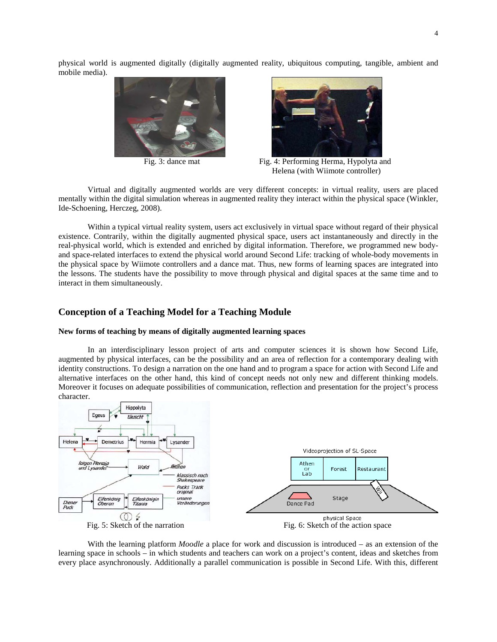physical world is augmented digitally (digitally augmented reality, ubiquitous computing, tangible, ambient and mobile media).





Fig. 3: dance mat Fig. 4: Performing Herma, Hypolyta and Helena (with Wiimote controller)

Virtual and digitally augmented worlds are very different concepts: in virtual reality, users are placed mentally within the digital simulation whereas in augmented reality they interact within the physical space (Winkler, Ide-Schoening, Herczeg, 2008).

Within a typical virtual reality system, users act exclusively in virtual space without regard of their physical existence. Contrarily, within the digitally augmented physical space, users act instantaneously and directly in the real-physical world, which is extended and enriched by digital information. Therefore, we programmed new bodyand space-related interfaces to extend the physical world around Second Life: tracking of whole-body movements in the physical space by Wiimote controllers and a dance mat. Thus, new forms of learning spaces are integrated into the lessons. The students have the possibility to move through physical and digital spaces at the same time and to interact in them simultaneously.

### **Conception of a Teaching Model for a Teaching Module**

#### **New forms of teaching by means of digitally augmented learning spaces**

In an interdisciplinary lesson project of arts and computer sciences it is shown how Second Life, augmented by physical interfaces, can be the possibility and an area of reflection for a contemporary dealing with identity constructions. To design a narration on the one hand and to program a space for action with Second Life and alternative interfaces on the other hand, this kind of concept needs not only new and different thinking models. Moreover it focuses on adequate possibilities of communication, reflection and presentation for the project's process character.



With the learning platform *Moodle* a place for work and discussion is introduced – as an extension of the learning space in schools – in which students and teachers can work on a project's content, ideas and sketches from every place asynchronously. Additionally a parallel communication is possible in Second Life. With this, different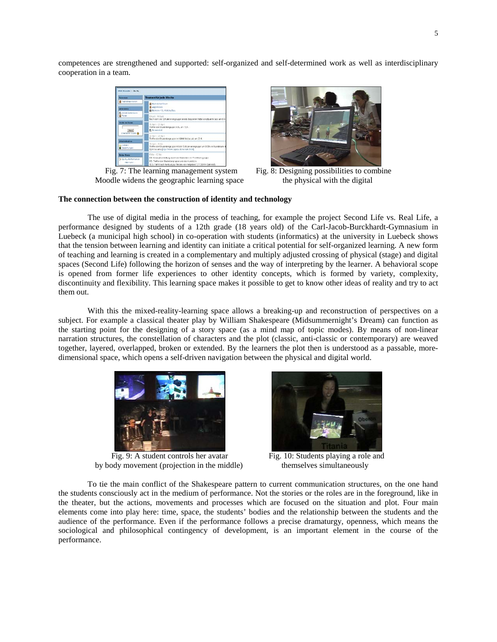competences are strengthened and supported: self-organized and self-determined work as well as interdisciplinary cooperation in a team.



 Fig. 7: The learning management system Fig. 8: Designing possibilities to combine Moodle widens the geographic learning space the physical with the digital



#### **The connection between the construction of identity and technology**

The use of digital media in the process of teaching, for example the project Second Life vs. Real Life, a performance designed by students of a 12th grade (18 years old) of the Carl-Jacob-Burckhardt-Gymnasium in Luebeck (a municipal high school) in co-operation with students (informatics) at the university in Luebeck shows that the tension between learning and identity can initiate a critical potential for self-organized learning. A new form of teaching and learning is created in a complementary and multiply adjusted crossing of physical (stage) and digital spaces (Second Life) following the horizon of senses and the way of interpreting by the learner. A behavioral scope is opened from former life experiences to other identity concepts, which is formed by variety, complexity, discontinuity and flexibility. This learning space makes it possible to get to know other ideas of reality and try to act them out.

With this the mixed-reality-learning space allows a breaking-up and reconstruction of perspectives on a subject. For example a classical theater play by William Shakespeare (Midsummernight's Dream) can function as the starting point for the designing of a story space (as a mind map of topic modes). By means of non-linear narration structures, the constellation of characters and the plot (classic, anti-classic or contemporary) are weaved together, layered, overlapped, broken or extended. By the learners the plot then is understood as a passable, moredimensional space, which opens a self-driven navigation between the physical and digital world.



 Fig. 9: A student controls her avatar Fig. 10: Students playing a role and by body movement (projection in the middle) themselves simultaneously



To tie the main conflict of the Shakespeare pattern to current communication structures, on the one hand the students consciously act in the medium of performance. Not the stories or the roles are in the foreground, like in the theater, but the actions, movements and processes which are focused on the situation and plot. Four main elements come into play here: time, space, the students' bodies and the relationship between the students and the audience of the performance. Even if the performance follows a precise dramaturgy, openness, which means the sociological and philosophical contingency of development, is an important element in the course of the performance.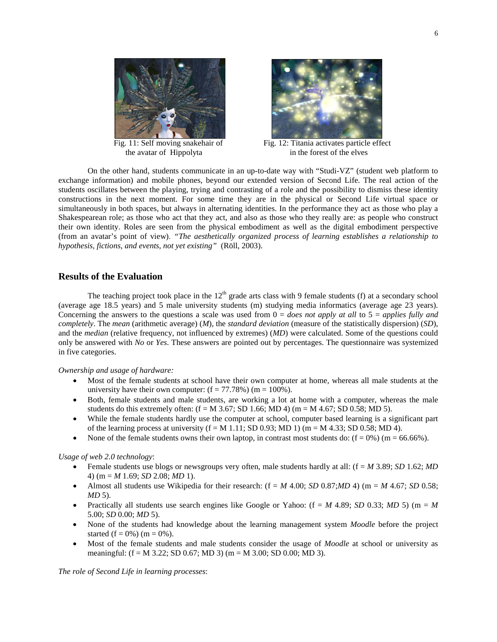



Fig. 11: Self moving snakehair of Fig. 12: Titania activates particle effect the avatar of Hippolyta in the forest of the elves

On the other hand, students communicate in an up-to-date way with "Studi-VZ" (student web platform to exchange information) and mobile phones, beyond our extended version of Second Life. The real action of the students oscillates between the playing, trying and contrasting of a role and the possibility to dismiss these identity constructions in the next moment. For some time they are in the physical or Second Life virtual space or simultaneously in both spaces, but always in alternating identities. In the performance they act as those who play a Shakespearean role; as those who act that they act, and also as those who they really are: as people who construct their own identity. Roles are seen from the physical embodiment as well as the digital embodiment perspective (from an avatar's point of view). *"The aesthetically organized process of learning establishes a relationship to hypothesis, fictions, and events, not yet existing"* (Röll, 2003).

### **Results of the Evaluation**

The teaching project took place in the  $12<sup>th</sup>$  grade arts class with 9 female students (f) at a secondary school (average age 18.5 years) and 5 male university students (m) studying media informatics (average age 23 years). Concerning the answers to the questions a scale was used from 0 = *does not apply at all* to 5 = *applies fully and completely*. The *mean* (arithmetic average) (*M*), the *standard deviation* (measure of the statistically dispersion) (*SD*), and the *median* (relative frequency, not influenced by extremes) (*MD*) were calculated. Some of the questions could only be answered with *No* or *Yes*. These answers are pointed out by percentages. The questionnaire was systemized in five categories.

#### *Ownership and usage of hardware:*

- Most of the female students at school have their own computer at home, whereas all male students at the university have their own computer:  $(f = 77.78\%)$  (m = 100%).
- Both, female students and male students, are working a lot at home with a computer, whereas the male students do this extremely often:  $(f = M 3.67; SD 1.66; MD 4)$  (m = M 4.67; SD 0.58; MD 5).
- While the female students hardly use the computer at school, computer based learning is a significant part of the learning process at university  $(f = M 1.11; SD 0.93; MD 1)$  (m = M 4.33; SD 0.58; MD 4).
- None of the female students owns their own laptop, in contrast most students do:  $(f = 0\%)$  (m = 66.66%).

#### *Usage of web 2.0 technology*:

- Female students use blogs or newsgroups very often, male students hardly at all: (f = *M* 3.89; *SD* 1.62; *MD* 4) (m = *M* 1.69; *SD* 2.08; *MD* 1).
- Almost all students use Wikipedia for their research:  $(f = M 4.00; SD 0.87; MD 4)$  (m =  $M 4.67; SD 0.58$ ; *MD* 5).
- Practically all students use search engines like Google or Yahoo:  $(f = M 4.89; SD 0.33; MD 5)$  (m = M 5.00; *SD* 0.00; *MD* 5).
- None of the students had knowledge about the learning management system *Moodle* before the project started  $(f = 0\%)$  (m = 0%).
- Most of the female students and male students consider the usage of *Moodle* at school or university as meaningful: (f = M 3.22; SD 0.67; MD 3) (m = M 3.00; SD 0.00; MD 3).

*The role of Second Life in learning processes*: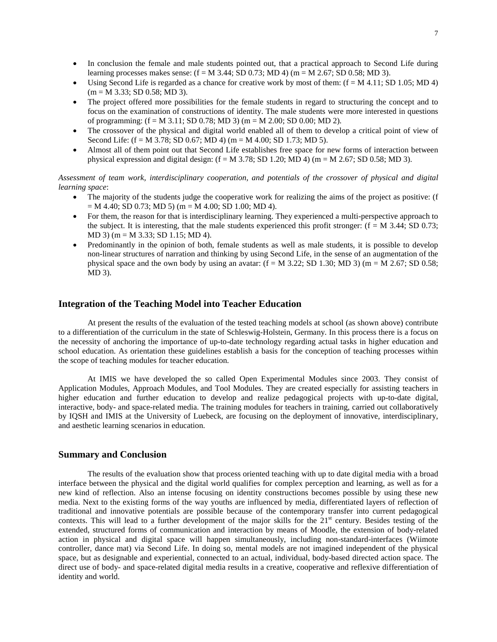- In conclusion the female and male students pointed out, that a practical approach to Second Life during learning processes makes sense:  $(f = M 3.44; SD 0.73; MD 4)$  (m = M 2.67; SD 0.58; MD 3).
- Using Second Life is regarded as a chance for creative work by most of them:  $(f = M 4.11; SD 1.05; MD 4)$  $(m = M 3.33; SD 0.58; MD 3).$
- The project offered more possibilities for the female students in regard to structuring the concept and to focus on the examination of constructions of identity. The male students were more interested in questions of programming:  $(f = M 3.11; SD 0.78; MD 3)$   $(m = M 2.00; SD 0.00; MD 2)$ .
- The crossover of the physical and digital world enabled all of them to develop a critical point of view of Second Life:  $(f = M 3.78; SD 0.67; MD 4)$   $(m = M 4.00; SD 1.73; MD 5)$ .
- Almost all of them point out that Second Life establishes free space for new forms of interaction between physical expression and digital design:  $(f = M 3.78; SD 1.20; MD 4)$  (m = M 2.67; SD 0.58; MD 3).

#### *Assessment of team work, interdisciplinary cooperation, and potentials of the crossover of physical and digital learning space*:

- The majority of the students judge the cooperative work for realizing the aims of the project as positive: (f  $= M 4.40$ ; SD 0.73; MD 5) (m = M 4.00; SD 1.00; MD 4).
- For them, the reason for that is interdisciplinary learning. They experienced a multi-perspective approach to the subject. It is interesting, that the male students experienced this profit stronger:  $(f = M 3.44; SD 0.73;$ MD 3) (m = M 3.33; SD 1.15; MD 4).
- Predominantly in the opinion of both, female students as well as male students, it is possible to develop non-linear structures of narration and thinking by using Second Life, in the sense of an augmentation of the physical space and the own body by using an avatar:  $(f = M 3.22; SD 1.30; MD 3)$  (m = M 2.67; SD 0.58; MD 3).

### **Integration of the Teaching Model into Teacher Education**

At present the results of the evaluation of the tested teaching models at school (as shown above) contribute to a differentiation of the curriculum in the state of Schleswig-Holstein, Germany. In this process there is a focus on the necessity of anchoring the importance of up-to-date technology regarding actual tasks in higher education and school education. As orientation these guidelines establish a basis for the conception of teaching processes within the scope of teaching modules for teacher education.

At IMIS we have developed the so called Open Experimental Modules since 2003. They consist of Application Modules, Approach Modules, and Tool Modules. They are created especially for assisting teachers in higher education and further education to develop and realize pedagogical projects with up-to-date digital, interactive, body- and space-related media. The training modules for teachers in training, carried out collaboratively by IQSH and IMIS at the University of Luebeck, are focusing on the deployment of innovative, interdisciplinary, and aesthetic learning scenarios in education.

### **Summary and Conclusion**

The results of the evaluation show that process oriented teaching with up to date digital media with a broad interface between the physical and the digital world qualifies for complex perception and learning, as well as for a new kind of reflection. Also an intense focusing on identity constructions becomes possible by using these new media. Next to the existing forms of the way youths are influenced by media, differentiated layers of reflection of traditional and innovative potentials are possible because of the contemporary transfer into current pedagogical contexts. This will lead to a further development of the major skills for the  $21<sup>st</sup>$  century. Besides testing of the extended, structured forms of communication and interaction by means of Moodle, the extension of body-related action in physical and digital space will happen simultaneously, including non-standard-interfaces (Wiimote controller, dance mat) via Second Life. In doing so, mental models are not imagined independent of the physical space, but as designable and experiential, connected to an actual, individual, body-based directed action space. The direct use of body- and space-related digital media results in a creative, cooperative and reflexive differentiation of identity and world.